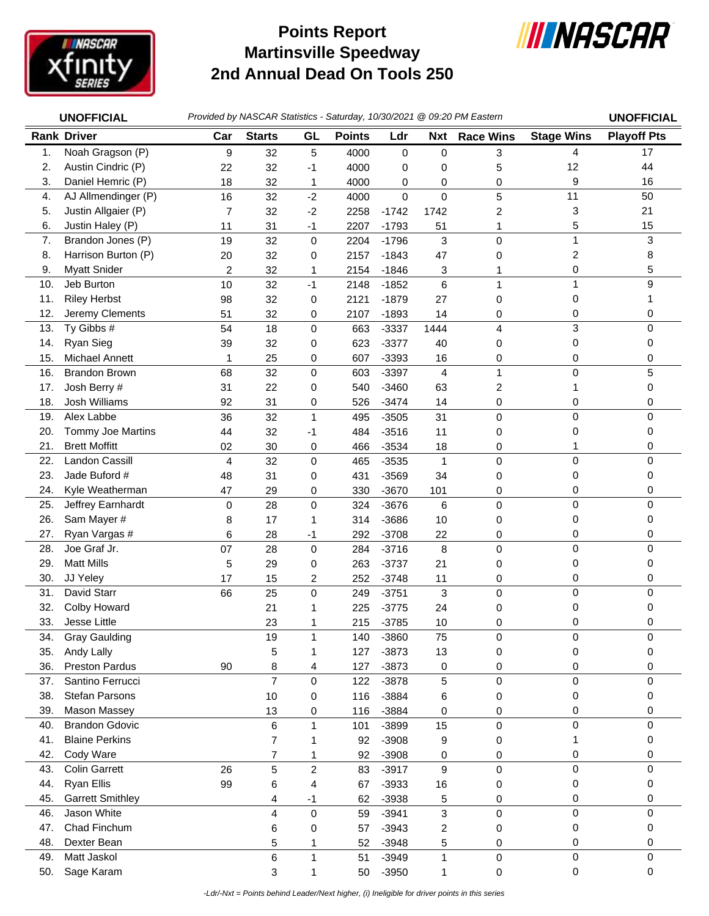

## **Martinsville Speedway 2nd Annual Dead On Tools 250 Points Report**



|     | <b>UNOFFICIAL</b>       |                |                |                |               |             |                         | Provided by NASCAR Statistics - Saturday, 10/30/2021 @ 09:20 PM Eastern |                   | <b>UNOFFICIAL</b>  |
|-----|-------------------------|----------------|----------------|----------------|---------------|-------------|-------------------------|-------------------------------------------------------------------------|-------------------|--------------------|
|     | <b>Rank Driver</b>      | Car            | <b>Starts</b>  | GL             | <b>Points</b> | Ldr         | Nxt                     | <b>Race Wins</b>                                                        | <b>Stage Wins</b> | <b>Playoff Pts</b> |
| 1.  | Noah Gragson (P)        | 9              | 32             | 5              | 4000          | 0           | 0                       | 3                                                                       | 4                 | 17                 |
| 2.  | Austin Cindric (P)      | 22             | 32             | -1             | 4000          | 0           | 0                       | 5                                                                       | 12                | 44                 |
| 3.  | Daniel Hemric (P)       | 18             | 32             | 1              | 4000          | 0           | 0                       | 0                                                                       | 9                 | 16                 |
| 4.  | AJ Allmendinger (P)     | 16             | 32             | $-2$           | 4000          | $\mathbf 0$ | 0                       | 5                                                                       | 11                | 50                 |
| 5.  | Justin Allgaier (P)     | 7              | 32             | $-2$           | 2258          | $-1742$     | 1742                    | 2                                                                       | 3                 | 21                 |
| 6.  | Justin Haley (P)        | 11             | 31             | $-1$           | 2207          | $-1793$     | 51                      | 1                                                                       | 5                 | 15                 |
| 7.  | Brandon Jones (P)       | 19             | 32             | $\mathbf 0$    | 2204          | $-1796$     | 3                       | 0                                                                       | 1                 | 3                  |
| 8.  | Harrison Burton (P)     | 20             | 32             | 0              | 2157          | $-1843$     | 47                      | 0                                                                       | 2                 | 8                  |
| 9.  | <b>Myatt Snider</b>     | 2              | 32             | 1              | 2154          | $-1846$     | 3                       | 1                                                                       | 0                 | 5                  |
| 10. | Jeb Burton              | 10             | 32             | $-1$           | 2148          | $-1852$     | 6                       | $\mathbf{1}$                                                            | 1                 | 9                  |
| 11. | <b>Riley Herbst</b>     | 98             | 32             | 0              | 2121          | $-1879$     | 27                      | 0                                                                       | 0                 | 1                  |
| 12. | Jeremy Clements         | 51             | 32             | 0              | 2107          | $-1893$     | 14                      | 0                                                                       | 0                 | 0                  |
| 13. | Ty Gibbs #              | 54             | 18             | $\mathbf 0$    | 663           | $-3337$     | 1444                    | 4                                                                       | 3                 | 0                  |
| 14. | Ryan Sieg               | 39             | 32             | 0              | 623           | $-3377$     | 40                      | 0                                                                       | 0                 | 0                  |
| 15. | Michael Annett          | 1              | 25             | 0              | 607           | $-3393$     | 16                      | 0                                                                       | 0                 | 0                  |
| 16. | <b>Brandon Brown</b>    | 68             | 32             | $\mathbf 0$    | 603           | $-3397$     | $\overline{4}$          | 1                                                                       | 0                 | 5                  |
| 17. | Josh Berry #            | 31             | 22             | 0              | 540           | $-3460$     | 63                      | 2                                                                       | 1                 | 0                  |
| 18. | Josh Williams           | 92             | 31             | 0              | 526           | $-3474$     | 14                      | 0                                                                       | 0                 | 0                  |
| 19. | Alex Labbe              | 36             | 32             | $\mathbf{1}$   | 495           | $-3505$     | 31                      | $\mathsf 0$                                                             | 0                 | 0                  |
| 20. | Tommy Joe Martins       | 44             | 32             | -1             | 484           | $-3516$     | 11                      | 0                                                                       | 0                 | 0                  |
| 21. | <b>Brett Moffitt</b>    | 02             | 30             | 0              | 466           | $-3534$     | 18                      | $\pmb{0}$                                                               | 1                 | 0                  |
| 22. | Landon Cassill          | $\overline{4}$ | 32             | $\mathbf 0$    | 465           | $-3535$     | $\mathbf{1}$            | $\mathbf 0$                                                             | 0                 | 0                  |
| 23. | Jade Buford #           | 48             | 31             | 0              | 431           | $-3569$     | 34                      | 0                                                                       | 0                 | 0                  |
| 24. | Kyle Weatherman         | 47             | 29             | 0              | 330           | $-3670$     | 101                     | 0                                                                       | 0                 | 0                  |
| 25. | Jeffrey Earnhardt       | 0              | 28             | $\mathbf 0$    | 324           | $-3676$     | 6                       | 0                                                                       | 0                 | 0                  |
| 26. | Sam Mayer #             | 8              | 17             | 1              | 314           | $-3686$     | 10                      | 0                                                                       | 0                 | 0                  |
| 27. | Ryan Vargas #           | 6              | 28             | -1             | 292           | $-3708$     | 22                      | 0                                                                       | 0                 | 0                  |
| 28. | Joe Graf Jr.            | 07             | 28             | $\mathbf 0$    | 284           | $-3716$     | 8                       | 0                                                                       | 0                 | 0                  |
| 29. | <b>Matt Mills</b>       | 5              | 29             | 0              | 263           | $-3737$     | 21                      | 0                                                                       | 0                 | 0                  |
| 30. | JJ Yeley                | 17             | 15             | $\overline{c}$ | 252           | $-3748$     | 11                      | 0                                                                       | 0                 | 0                  |
| 31. | David Starr             | 66             | 25             | $\mathbf 0$    | 249           | $-3751$     | 3                       | 0                                                                       | 0                 | 0                  |
| 32. | Colby Howard            |                | 21             | 1              | 225           | $-3775$     | 24                      | 0                                                                       | 0                 | 0                  |
| 33. | Jesse Little            |                | 23             | 1              | 215           | $-3785$     | 10                      | 0                                                                       | 0                 | 0                  |
| 34. | <b>Gray Gaulding</b>    |                | 19             | 1              | 140           | $-3860$     | 75                      | 0                                                                       | 0                 | 0                  |
| 35. | Andy Lally              |                | 5              | 1              | 127           | $-3873$     | 13                      | 0                                                                       | 0                 | 0                  |
| 36. | <b>Preston Pardus</b>   | 90             | 8              | 4              | 127           | $-3873$     | 0                       | 0                                                                       | 0                 | 0                  |
| 37. | Santino Ferrucci        |                | $\overline{7}$ | $\mathbf 0$    | 122           | $-3878$     | 5                       | $\mathsf 0$                                                             | 0                 | 0                  |
| 38. | <b>Stefan Parsons</b>   |                | 10             | 0              | 116           | $-3884$     | 6                       | 0                                                                       | 0                 | 0                  |
| 39. | Mason Massey            |                | 13             | 0              | 116           | $-3884$     | 0                       | 0                                                                       | 0                 | 0                  |
| 40. | <b>Brandon Gdovic</b>   |                | 6              | 1              | 101           | $-3899$     | 15                      | $\mathsf 0$                                                             | 0                 | 0                  |
| 41. | <b>Blaine Perkins</b>   |                | $\overline{7}$ | 1              | 92            | $-3908$     | 9                       | 0                                                                       | 1                 | 0                  |
| 42. | Cody Ware               |                | $\overline{7}$ | 1              | 92            | $-3908$     | 0                       | 0                                                                       | 0                 | 0                  |
| 43. | <b>Colin Garrett</b>    | 26             | 5              | $\overline{2}$ | 83            | $-3917$     | 9                       | $\mathsf 0$                                                             | 0                 | 0                  |
| 44. | <b>Ryan Ellis</b>       | 99             | 6              | 4              | 67            | $-3933$     | 16                      | 0                                                                       | 0                 | 0                  |
| 45. | <b>Garrett Smithley</b> |                | 4              | $-1$           | 62            | $-3938$     | 5                       | 0                                                                       | 0                 | 0                  |
| 46. | Jason White             |                | 4              | $\mathbf 0$    | 59            | $-3941$     | 3                       | $\mathsf 0$                                                             | 0                 | 0                  |
| 47. | Chad Finchum            |                | 6              | 0              | 57            | $-3943$     | $\overline{\mathbf{c}}$ | 0                                                                       | 0                 | 0                  |
| 48. | Dexter Bean             |                | 5              | 1              | 52            | $-3948$     | 5                       | 0                                                                       | 0                 | 0                  |
| 49. | Matt Jaskol             |                | 6              | 1              | 51            | $-3949$     | $\mathbf{1}$            | 0                                                                       | 0                 | 0                  |
| 50. | Sage Karam              |                | 3              | 1              | 50            | $-3950$     | 1                       | $\pmb{0}$                                                               | 0                 | $\mathbf 0$        |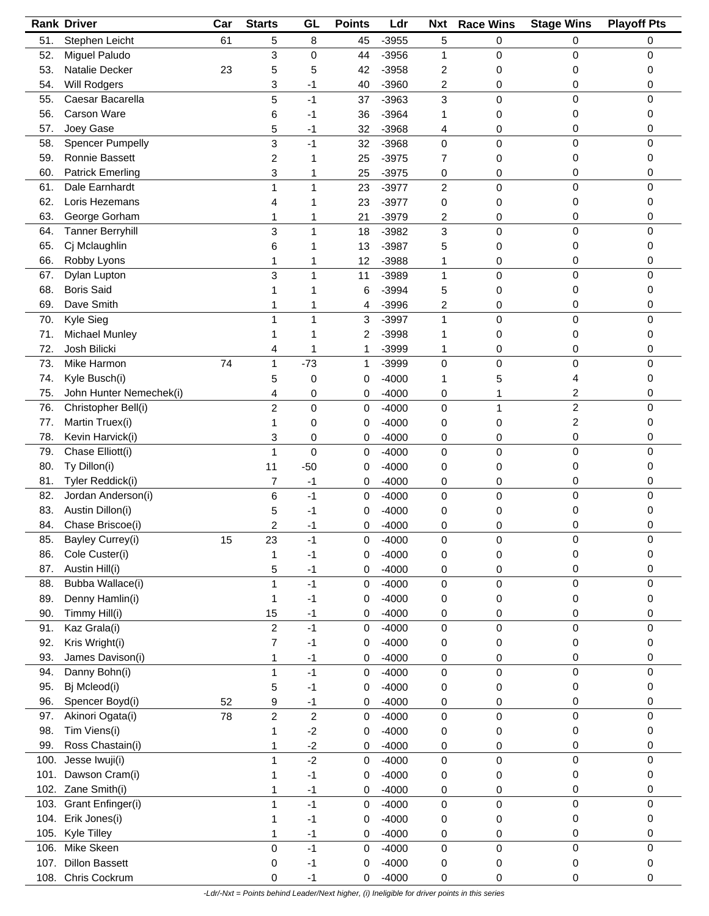|      | <b>Rank Driver</b>      | Car | <b>Starts</b>           | GL                      | <b>Points</b> | Ldr     | <b>Nxt</b>     | <b>Race Wins</b> | <b>Stage Wins</b> | <b>Playoff Pts</b> |
|------|-------------------------|-----|-------------------------|-------------------------|---------------|---------|----------------|------------------|-------------------|--------------------|
| 51.  | Stephen Leicht          | 61  | 5                       | 8                       | 45            | $-3955$ | 5              | 0                | 0                 | 0                  |
| 52.  | Miguel Paludo           |     | 3                       | 0                       | 44            | $-3956$ | 1              | 0                | 0                 | 0                  |
| 53.  | Natalie Decker          | 23  | 5                       | 5                       | 42            | $-3958$ | 2              | 0                | 0                 | 0                  |
| 54.  | <b>Will Rodgers</b>     |     | 3                       | -1                      | 40            | $-3960$ | 2              | 0                | 0                 | 0                  |
| 55.  | Caesar Bacarella        |     | 5                       | $-1$                    | 37            | $-3963$ | 3              | 0                | 0                 | 0                  |
| 56.  | <b>Carson Ware</b>      |     |                         | -1                      | 36            | $-3964$ | 1              | 0                | 0                 | 0                  |
|      |                         |     | 6                       |                         |               |         |                |                  |                   |                    |
| 57.  | Joey Gase               |     | 5                       | $-1$                    | 32            | $-3968$ | 4              | 0                | 0                 | 0                  |
| 58.  | <b>Spencer Pumpelly</b> |     | 3                       | $-1$                    | 32            | $-3968$ | 0              | 0                | 0                 | 0                  |
| 59.  | Ronnie Bassett          |     | 2                       |                         | 25            | $-3975$ | 7              | 0                | 0                 | 0                  |
| 60.  | <b>Patrick Emerling</b> |     | 3                       | 1                       | 25            | $-3975$ | 0              | 0                | 0                 | 0                  |
| 61.  | Dale Earnhardt          |     | 1                       | $\mathbf{1}$            | 23            | $-3977$ | $\overline{c}$ | 0                | 0                 | 0                  |
| 62.  | Loris Hezemans          |     | 4                       | 1                       | 23            | $-3977$ | 0              | 0                | 0                 | 0                  |
| 63.  | George Gorham           |     | 1                       | 1                       | 21            | $-3979$ | 2              | 0                | 0                 | 0                  |
| 64.  | <b>Tanner Berryhill</b> |     | 3                       | 1                       | 18            | $-3982$ | 3              | 0                | 0                 | 0                  |
| 65.  | Cj Mclaughlin           |     | 6                       | 1                       | 13            | $-3987$ | 5              | 0                | 0                 | 0                  |
| 66.  | Robby Lyons             |     | 1                       | 1                       | 12            | $-3988$ | 1              | 0                | 0                 | 0                  |
| 67.  | Dylan Lupton            |     | 3                       | 1                       | 11            | $-3989$ | $\mathbf{1}$   | 0                | 0                 | 0                  |
| 68.  | <b>Boris Said</b>       |     |                         |                         |               | $-3994$ |                |                  | 0                 |                    |
|      |                         |     |                         |                         | 6             |         | 5              | 0                |                   | 0                  |
| 69.  | Dave Smith              |     |                         |                         | 4             | $-3996$ | 2              | 0                | 0                 | 0                  |
| 70.  | Kyle Sieg               |     | 1                       | 1                       | 3             | $-3997$ | $\mathbf{1}$   | 0                | 0                 | 0                  |
| 71.  | Michael Munley          |     |                         |                         | 2             | $-3998$ | 1              | 0                | 0                 | 0                  |
| 72.  | Josh Bilicki            |     | 4                       | 1                       | 1             | $-3999$ | 1              | 0                | 0                 | 0                  |
| 73.  | Mike Harmon             | 74  | 1                       | $-73$                   | 1             | $-3999$ | 0              | 0                | 0                 | 0                  |
| 74.  | Kyle Busch(i)           |     | 5                       | 0                       | 0             | $-4000$ | 1              | 5                | 4                 | 0                  |
| 75.  | John Hunter Nemechek(i) |     | 4                       | 0                       | 0             | $-4000$ | 0              | 1                | 2                 | 0                  |
| 76.  | Christopher Bell(i)     |     | $\overline{c}$          | 0                       | 0             | $-4000$ | 0              | 1                | $\overline{2}$    | 0                  |
| 77.  | Martin Truex(i)         |     | 1                       | 0                       | 0             | $-4000$ | 0              | 0                | 2                 | 0                  |
| 78.  | Kevin Harvick(i)        |     | 3                       | 0                       | 0             | $-4000$ | 0              | 0                | 0                 | 0                  |
| 79.  | Chase Elliott(i)        |     | 1                       | 0                       | 0             | $-4000$ | 0              | 0                | 0                 | 0                  |
|      |                         |     |                         |                         |               |         |                |                  |                   |                    |
| 80.  | Ty Dillon(i)            |     | 11                      | $-50$                   | 0             | $-4000$ | 0              | 0                | 0                 | 0                  |
| 81.  | Tyler Reddick(i)        |     | 7                       | $-1$                    | 0             | $-4000$ | 0              | 0                | 0                 | 0                  |
| 82.  | Jordan Anderson(i)      |     | 6                       | $-1$                    | 0             | $-4000$ | 0              | 0                | 0                 | 0                  |
| 83.  | Austin Dillon(i)        |     | 5                       | -1                      | 0             | $-4000$ | 0              | 0                | 0                 | 0                  |
| 84.  | Chase Briscoe(i)        |     | 2                       | -1                      | 0             | $-4000$ | 0              | 0                | 0                 | 0                  |
| 85.  | Bayley Currey(i)        | 15  | 23                      | $-1$                    | 0             | $-4000$ | 0              | 0                | 0                 |                    |
| 86.  | Cole Custer(i)          |     | 1                       | -1                      | 0             | $-4000$ | 0              | 0                | 0                 | 0                  |
| 87.  | Austin Hill(i)          |     | 5                       | $-1$                    | 0             | $-4000$ | 0              | 0                | 0                 | 0                  |
| 88.  | Bubba Wallace(i)        |     | 1                       | $-1$                    | 0             | $-4000$ | $\pmb{0}$      | 0                | 0                 | 0                  |
| 89.  | Denny Hamlin(i)         |     | 1                       | $-1$                    | 0             | $-4000$ | 0              | 0                | 0                 | 0                  |
| 90.  | Timmy Hill(i)           |     | 15                      | $-1$                    | 0             | $-4000$ | 0              | 0                | 0                 | 0                  |
| 91.  | Kaz Grala(i)            |     | $\overline{c}$          | $-1$                    | 0             | $-4000$ | 0              | 0                | 0                 | 0                  |
|      |                         |     |                         |                         |               |         |                |                  |                   |                    |
| 92.  | Kris Wright(i)          |     | 7                       | $-1$                    | 0             | $-4000$ | 0              | 0                | 0                 | 0                  |
| 93.  | James Davison(i)        |     | 1                       | $-1$                    | 0             | $-4000$ | 0              | 0                | 0                 | 0                  |
| 94.  | Danny Bohn(i)           |     | 1                       | $-1$                    | 0             | $-4000$ | 0              | 0                | 0                 | 0                  |
| 95.  | Bj Mcleod(i)            |     | 5                       | $-1$                    | 0             | $-4000$ | 0              | 0                | 0                 | 0                  |
| 96.  | Spencer Boyd(i)         | 52  | 9                       | $-1$                    | 0             | $-4000$ | 0              | 0                | 0                 | 0                  |
| 97.  | Akinori Ogata(i)        | 78  | $\overline{\mathbf{c}}$ | $\overline{\mathbf{c}}$ | 0             | $-4000$ | $\pmb{0}$      | 0                | 0                 | 0                  |
| 98.  | Tim Viens(i)            |     | 1                       | $-2$                    | 0             | $-4000$ | 0              | 0                | 0                 | 0                  |
| 99.  | Ross Chastain(i)        |     | 1                       | $-2$                    | 0             | $-4000$ | 0              | 0                | 0                 | 0                  |
| 100. | Jesse Iwuji(i)          |     | 1                       | $-2$                    | 0             | $-4000$ | 0              | 0                | 0                 | 0                  |
| 101. | Dawson Cram(i)          |     | 1                       | $-1$                    | 0             | $-4000$ | 0              | 0                | 0                 | 0                  |
|      | 102. Zane Smith(i)      |     | 1                       | $-1$                    | 0             | $-4000$ | 0              | 0                | 0                 | 0                  |
|      | Grant Enfinger(i)       |     |                         | $-1$                    |               |         |                |                  | 0                 | 0                  |
| 103. |                         |     | 1                       |                         | 0             | $-4000$ | $\mathsf 0$    | 0                |                   |                    |
| 104. | Erik Jones(i)           |     | 1                       | $-1$                    | 0             | $-4000$ | 0              | 0                | 0                 | 0                  |
| 105. | Kyle Tilley             |     | 1                       | $-1$                    | 0             | $-4000$ | 0              | 0                | 0                 | 0                  |
| 106. | Mike Skeen              |     | 0                       | $-1$                    | 0             | $-4000$ | $\pmb{0}$      | 0                | 0                 | 0                  |
| 107. | <b>Dillon Bassett</b>   |     | 0                       | $-1$                    | 0             | $-4000$ | 0              | 0                | 0                 | 0                  |
| 108. | Chris Cockrum           |     | 0                       | $-1$                    | 0             | $-4000$ | 0              | 0                | 0                 | 0                  |